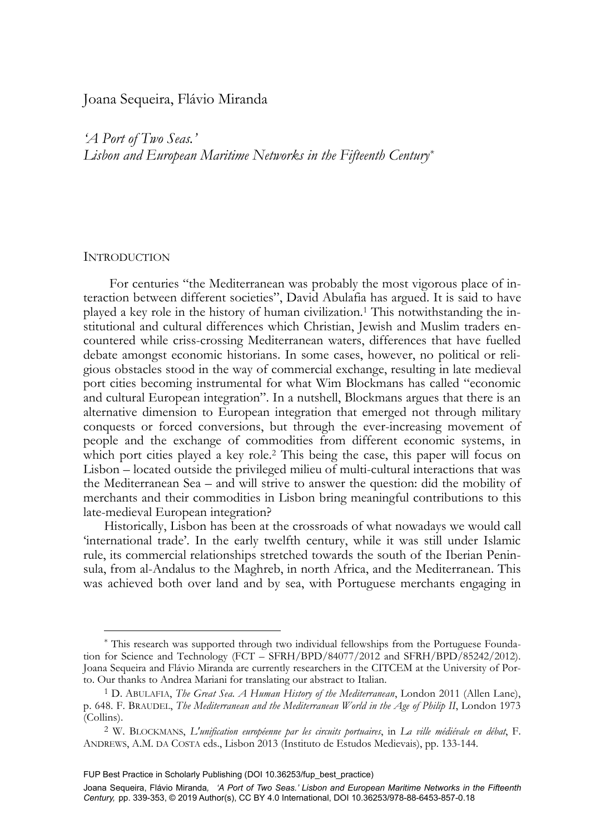# Joana Sequeira, Flávio Miranda

*'A Port of Two Seas.' Lisbon and European Maritime Networks in the Fifteenth Century\**

# **INTRODUCTION**

-

For centuries "the Mediterranean was probably the most vigorous place of interaction between different societies", David Abulafia has argued. It is said to have played a key role in the history of human civilization.1 This notwithstanding the institutional and cultural differences which Christian, Jewish and Muslim traders encountered while criss-crossing Mediterranean waters, differences that have fuelled debate amongst economic historians. In some cases, however, no political or religious obstacles stood in the way of commercial exchange, resulting in late medieval port cities becoming instrumental for what Wim Blockmans has called "economic and cultural European integration". In a nutshell, Blockmans argues that there is an alternative dimension to European integration that emerged not through military conquests or forced conversions, but through the ever-increasing movement of people and the exchange of commodities from different economic systems, in which port cities played a key role.<sup>2</sup> This being the case, this paper will focus on Lisbon – located outside the privileged milieu of multi-cultural interactions that was the Mediterranean Sea – and will strive to answer the question: did the mobility of merchants and their commodities in Lisbon bring meaningful contributions to this late-medieval European integration?

Historically, Lisbon has been at the crossroads of what nowadays we would call 'international trade'. In the early twelfth century, while it was still under Islamic rule, its commercial relationships stretched towards the south of the Iberian Peninsula, from al-Andalus to the Maghreb, in north Africa, and the Mediterranean. This was achieved both over land and by sea, with Portuguese merchants engaging in

<sup>\*</sup> This research was supported through two individual fellowships from the Portuguese Foundation for Science and Technology (FCT – SFRH/BPD/84077/2012 and SFRH/BPD/85242/2012). Joana Sequeira and Flávio Miranda are currently researchers in the CITCEM at the University of Porto. Our thanks to Andrea Mariani for translating our abstract to Italian. 1 D. ABULAFIA, *The Great Sea. A Human History of the Mediterranean*, London 2011 (Allen Lane),

p. 648. F. BRAUDEL, *The Mediterranean and the Mediterranean World in the Age of Philip II*, London 1973 (Collins).

<sup>2</sup> W. BLOCKMANS, *L'unification européenne par les circuits portuaires*, in *La ville médiévale en débat*, F. ANDREWS, A.M. DA COSTA eds., Lisbon 2013 (Instituto de Estudos Medievais), pp. 133-144.

FUP Best Practice in Scholarly Publishing (DOI [10.36253/fup\\_best\\_practice\)](https://doi.org/10.36253/fup_best_practice)

Joana Sequeira, Flávio Miranda*, 'A Port of Two Seas.' Lisbon and European Maritime Networks in the Fifteenth Century,* pp. 339-353, © 2019 Author(s), [CC BY 4.0 International](http://creativecommons.org/licenses/by/4.0/legalcode), DOI [10.36253/978-88-6453-857-0.18](https://doi.org/10.36253/978-88-6453-857-0.18)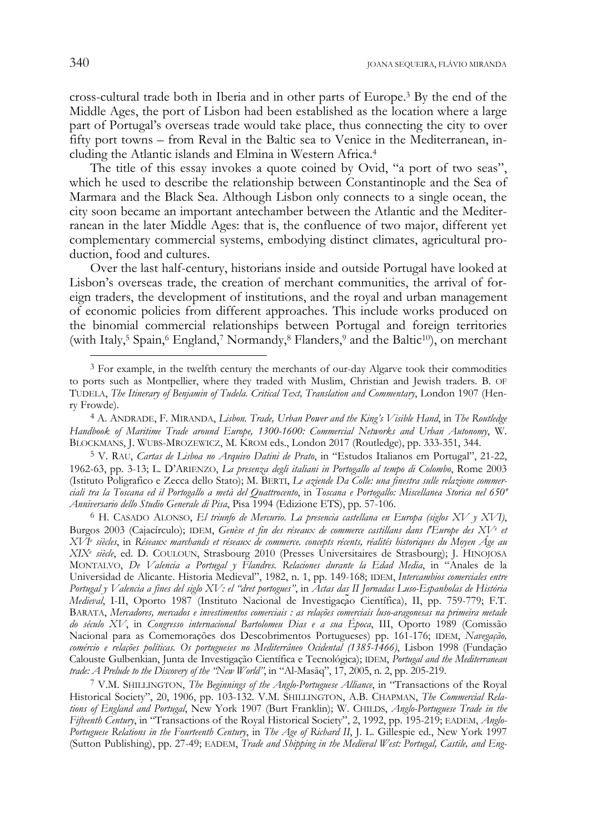cross-cultural trade both in Iberia and in other parts of Europe.3 By the end of the Middle Ages, the port of Lisbon had been established as the location where a large part of Portugal's overseas trade would take place, thus connecting the city to over fifty port towns – from Reval in the Baltic sea to Venice in the Mediterranean, including the Atlantic islands and Elmina in Western Africa.4

The title of this essay invokes a quote coined by Ovid, "a port of two seas", which he used to describe the relationship between Constantinople and the Sea of Marmara and the Black Sea. Although Lisbon only connects to a single ocean, the city soon became an important antechamber between the Atlantic and the Mediterranean in the later Middle Ages: that is, the confluence of two major, different yet complementary commercial systems, embodying distinct climates, agricultural production, food and cultures.

Over the last half-century, historians inside and outside Portugal have looked at Lisbon's overseas trade, the creation of merchant communities, the arrival of foreign traders, the development of institutions, and the royal and urban management of economic policies from different approaches. This include works produced on the binomial commercial relationships between Portugal and foreign territories (with Italy,<sup>5</sup> Spain,<sup>6</sup> England,<sup>7</sup> Normandy,<sup>8</sup> Flanders,<sup>9</sup> and the Baltic<sup>10</sup>), on merchant

<sup>&</sup>lt;sup>3</sup> For example, in the twelfth century the merchants of our-day Algarve took their commodities to ports such as Montpellier, where they traded with Muslim, Christian and Jewish traders. B. OF TUDELA, *The Itinerary of Benjamin of Tudela. Critical Text, Translation and Commentary*, London 1907 (Henry Frowde).

<sup>4</sup> A. ANDRADE, F. MIRANDA, *Lisbon. Trade, Urban Power and the King's Visible Hand*, in *The Routledge Handbook of Maritime Trade around Europe, 1300-1600: Commercial Networks and Urban Autonomy*, W. BLOCKMANS, J. WUBS-MROZEWICZ, M. KROM eds., London 2017 (Routledge), pp. 333-351, 344.

<sup>5</sup> V. RAU, *Cartas de Lisboa no Arquivo Datini de Prato*, in "Estudos Italianos em Portugal", 21-22, 1962-63, pp. 3-13; L. D'ARIENZO, *La presenza degli italiani in Portogallo al tempo di Colombo*, Rome 2003 (Istituto Poligrafico e Zecca dello Stato); M. BERTI, *Le aziende Da Colle: una finestra sulle relazione commerciali tra la Toscana ed il Portogallo a metà del Quattrocento*, in *Toscana e Portogallo: Miscellanea Storica nel 650º Anniversario dello Studio Generale di Pisa*, Pisa 1994 (Edizione ETS), pp. 57-106.

<sup>6</sup> H. CASADO ALONSO, *El triunfo de Mercurio. La presencia castellana en Europa (siglos XV y XVI)*, Burgos 2003 (Cajacírculo); IDEM, *Genèse et fin des réseaux de commerce castillans dans l'Europe des XVe et XVIe siècles*, in *Réseaux marchands et réseaux de commerce. concepts récents, réalités historiques du Moyen Âge au XIXe siècle*, ed. D. COULOUN, Strasbourg 2010 (Presses Universitaires de Strasbourg); J. HINOJOSA MONTALVO, *De Valencia a Portugal y Flandres. Relaciones durante la Edad Media*, in "Anales de la Universidad de Alicante. Historia Medieval", 1982, n. 1, pp. 149-168; IDEM, *Intercambios comerciales entre Portugal y Valencia a fines del siglo XV: el "dret portogues"*, in *Actas das II Jornadas Luso-Espanholas de História Medieval*, I-II, Oporto 1987 (Instituto Nacional de Investigação Científica), II, pp. 759-779; F.T. BARATA, *Mercadores, mercados e investimentos comerciais : as relações comerciais luso-aragonesas na primeira metade do século XV*, in *Congresso internacional Bartolomeu Dias e a sua Época*, III, Oporto 1989 (Comissão Nacional para as Comemorações dos Descobrimentos Portugueses) pp. 161-176; IDEM, *Navegação, comércio e relações políticas. Os portugueses no Mediterrâneo Ocidental (1385-1466)*, Lisbon 1998 (Fundação Calouste Gulbenkian, Junta de Investigação Científica e Tecnológica); IDEM, *Portugal and the Mediterranean* 

<sup>&</sup>lt;sup>7</sup> V.M. SHILLINGTON, *The Beginnings of the Anglo-Portuguese Alliance*, in "Transactions of the Royal Historical Society", 20, 1906, pp. 103-132. V.M. SHILLINGTON, A.B. CHAPMAN, *The Commercial Relations of England and Portugal*, New York 1907 (Burt Franklin); W. CHILDS, *Anglo-Portuguese Trade in the Fifteenth Century*, in "Transactions of the Royal Historical Society", 2, 1992, pp. 195-219; EADEM, *Anglo-Portuguese Relations in the Fourteenth Century*, in *The Age of Richard II*, J. L. Gillespie ed., New York 1997 (Sutton Publishing), pp. 27-49; EADEM, *Trade and Shipping in the Medieval West: Portugal, Castile, and Eng-*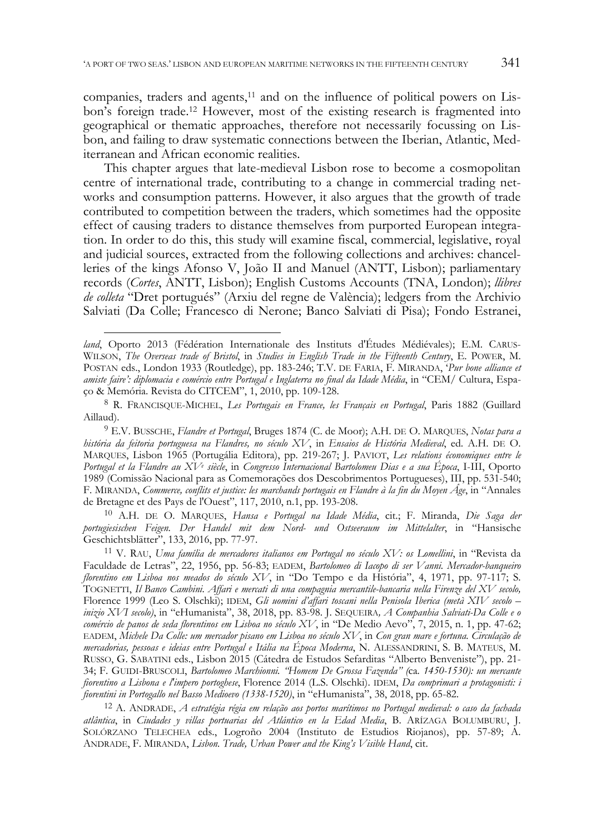companies, traders and agents,<sup>11</sup> and on the influence of political powers on Lisbon's foreign trade.12 However, most of the existing research is fragmented into geographical or thematic approaches, therefore not necessarily focussing on Lisbon, and failing to draw systematic connections between the Iberian, Atlantic, Mediterranean and African economic realities.

This chapter argues that late-medieval Lisbon rose to become a cosmopolitan centre of international trade, contributing to a change in commercial trading networks and consumption patterns. However, it also argues that the growth of trade contributed to competition between the traders, which sometimes had the opposite effect of causing traders to distance themselves from purported European integration. In order to do this, this study will examine fiscal, commercial, legislative, royal and judicial sources, extracted from the following collections and archives: chancelleries of the kings Afonso V, João II and Manuel (ANTT, Lisbon); parliamentary records (*Cortes*, ANTT, Lisbon); English Customs Accounts (TNA, London); *llibres de colleta* "Dret portugués" (Arxiu del regne de València); ledgers from the Archivio Salviati (Da Colle; Francesco di Nerone; Banco Salviati di Pisa); Fondo Estranei,

j

10 A.H. DE O. MARQUES, *Hansa e Portugal na Idade Média*, cit.; F. Miranda, *Die Saga der portugiesischen Feigen. Der Handel mit dem Nord- und Ostseeraum im Mittelalter*, in "Hansische

<sup>11</sup> V. RAU, Uma família de mercadores italianos em Portugal no século XV: os Lomellini, in "Revista da Faculdade de Letras", 22, 1956, pp. 56-83; EADEM, *Bartolomeo di Iacopo di ser Vanni. Mercador-banqueiro florentino em Lisboa nos meados do século XV*, in "Do Tempo e da História", 4, 1971, pp. 97-117; S. TOGNETTI, *Il Banco Cambini. Affari e mercati di una compagnia mercantile-bancaria nella Firenze del XV secolo,*  Florence 1999 (Leo S. Olschki); IDEM, *Gli uomini d'affari toscani nella Penisola Iberica (metà XIV secolo – inizio XVI secolo)*, in "eHumanista", 38, 2018, pp. 83-98. J. SEQUEIRA*, A Companhia Salviati-Da Colle e o comércio de panos de seda florentinos em Lisboa no século XV*, in "De Medio Aevo", 7, 2015, n. 1, pp. 47-62; EADEM, *Michele Da Colle: um mercador pisano em Lisboa no século XV*, in *Con gran mare e fortuna. Circulação de mercadorias, pessoas e ideias entre Portugal e Itália na Época Moderna*, N. ALESSANDRINI, S. B. MATEUS, M. RUSSO, G. SABATINI eds., Lisbon 2015 (Cátedra de Estudos Sefarditas "Alberto Benveniste"), pp. 21- 34; F. GUIDI-BRUSCOLI, *Bartolomeo Marchionni. "Homem De Grossa Fazenda" (*ca*. 1450-1530): un mercante fiorentino a Lisbona e l'impero portoghese*, Florence 2014 (L.S. Olschki). IDEM, *Da comprimari a protagonisti: i fiorentini in Portogallo nel Basso Medioevo (1338-1520)*, in "eHumanista", 38, 2018, pp. 65-82. 12 A. ANDRADE, *A estratégia régia em relação aos portos marítimos no Portugal medieval: o caso da fachada* 

*atlântica*, in *Ciudades y villas portuarias del Atlántico en la Edad Media*, B. ARÍZAGA BOLUMBURU, J. SOLÓRZANO TELECHEA eds., Logroño 2004 (Instituto de Estudios Riojanos), pp. 57-89; A. ANDRADE, F. MIRANDA, *Lisbon. Trade, Urban Power and the King's Visible Hand*, cit.

*land*, Oporto 2013 (Fédération Internationale des Instituts d'Études Médiévales); E.M. CARUS-WILSON, *The Overseas trade of Bristol*, in *Studies in English Trade in the Fifteenth Century*, E. POWER, M. POSTAN eds., London 1933 (Routledge), pp. 183-246; T.V. DE FARIA, F. MIRANDA, '*Pur bone alliance et amiste faire': diplomacia e comércio entre Portugal e Inglaterra no final da Idade Média*, in "CEM/ Cultura, Espaço & Memória. Revista do CITCEM", 1, 2010, pp. 109-128.

<sup>8</sup> R. FRANCISQUE-MICHEL, *Les Portugais en France, les Français en Portugal*, Paris 1882 (Guillard Aillaud).

<sup>9</sup> E.V. BUSSCHE, *Flandre et Portugal*, Bruges 1874 (C. de Moor); A.H. DE O. MARQUES, *Notas para a história da feitoria portuguesa na Flandres, no século XV*, in *Ensaios de História Medieval*, ed. A.H. DE O. MARQUES, Lisbon 1965 (Portugália Editora), pp. 219-267; J. PAVIOT, *Les relations économiques entre le Portugal et la Flandre au XVe siècle*, in *Congresso Internacional Bartolomeu Dias e a sua Época*, I-III, Oporto 1989 (Comissão Nacional para as Comemorações dos Descobrimentos Portugueses), III, pp. 531-540; F. MIRANDA, *Commerce, conflits et justice: les marchands portugais en Flandre à la fin du Moyen Âge*, in "Annales de Bretagne et des Pays de l'Ouest", 117, 2010, n.1, pp. 193-208.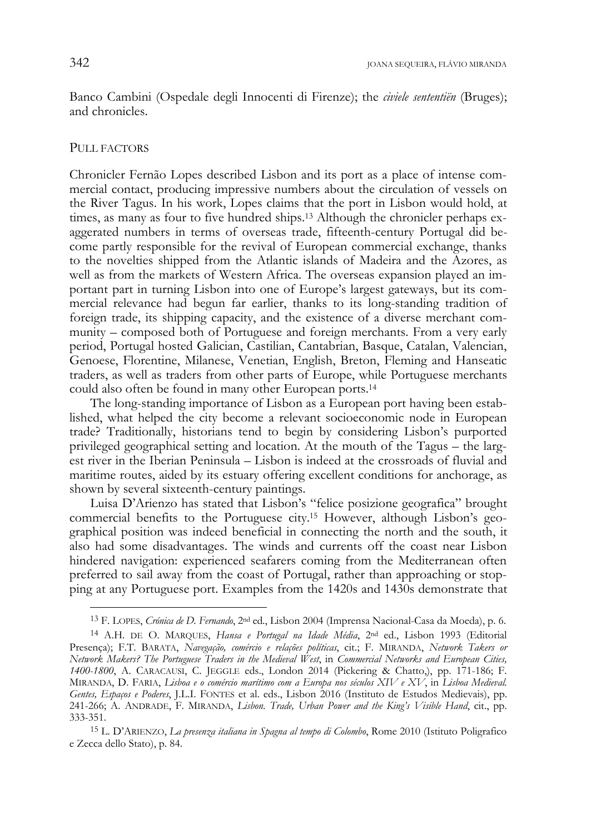Banco Cambini (Ospedale degli Innocenti di Firenze); the *civiele sententiën* (Bruges); and chronicles.

## PULL FACTORS

-

Chronicler Fernão Lopes described Lisbon and its port as a place of intense commercial contact, producing impressive numbers about the circulation of vessels on the River Tagus. In his work, Lopes claims that the port in Lisbon would hold, at times, as many as four to five hundred ships.<sup>13</sup> Although the chronicler perhaps exaggerated numbers in terms of overseas trade, fifteenth-century Portugal did become partly responsible for the revival of European commercial exchange, thanks to the novelties shipped from the Atlantic islands of Madeira and the Azores, as well as from the markets of Western Africa. The overseas expansion played an important part in turning Lisbon into one of Europe's largest gateways, but its commercial relevance had begun far earlier, thanks to its long-standing tradition of foreign trade, its shipping capacity, and the existence of a diverse merchant community – composed both of Portuguese and foreign merchants. From a very early period, Portugal hosted Galician, Castilian, Cantabrian, Basque, Catalan, Valencian, Genoese, Florentine, Milanese, Venetian, English, Breton, Fleming and Hanseatic traders, as well as traders from other parts of Europe, while Portuguese merchants could also often be found in many other European ports.14

The long-standing importance of Lisbon as a European port having been established, what helped the city become a relevant socioeconomic node in European trade? Traditionally, historians tend to begin by considering Lisbon's purported privileged geographical setting and location. At the mouth of the Tagus – the largest river in the Iberian Peninsula – Lisbon is indeed at the crossroads of fluvial and maritime routes, aided by its estuary offering excellent conditions for anchorage, as shown by several sixteenth-century paintings.

Luisa D'Arienzo has stated that Lisbon's "felice posizione geografica" brought commercial benefits to the Portuguese city.15 However, although Lisbon's geographical position was indeed beneficial in connecting the north and the south, it also had some disadvantages. The winds and currents off the coast near Lisbon hindered navigation: experienced seafarers coming from the Mediterranean often preferred to sail away from the coast of Portugal, rather than approaching or stopping at any Portuguese port. Examples from the 1420s and 1430s demonstrate that

15 L. D'ARIENZO, *La presenza italiana in Spagna al tempo di Colombo*, Rome 2010 (Istituto Poligrafico e Zecca dello Stato), p. 84.

<sup>13</sup> F. LOPES, *Crónica de D. Fernando*, 2nd ed., Lisbon 2004 (Imprensa Nacional-Casa da Moeda), p. 6.

<sup>14</sup> A.H. DE O. MARQUES, *Hansa e Portugal na Idade Média*, 2nd ed., Lisbon 1993 (Editorial Presença); F.T. BARATA, *Navegação, comércio e relações políticas*, cit.; F. MIRANDA, *Network Takers or Network Makers? The Portuguese Traders in the Medieval West*, in *Commercial Networks and European Cities, 1400-1800*, A. CARACAUSI, C. JEGGLE eds., London 2014 (Pickering & Chatto,), pp. 171-186; F. MIRANDA, D. FARIA, *Lisboa e o comércio marítimo com a Europa nos séculos XIV e XV*, in *Lisboa Medieval. Gentes, Espaços e Poderes*, J.L.I. FONTES et al. eds., Lisbon 2016 (Instituto de Estudos Medievais), pp. 241-266; A. ANDRADE, F. MIRANDA, *Lisbon. Trade, Urban Power and the King's Visible Hand*, cit., pp. 333-351.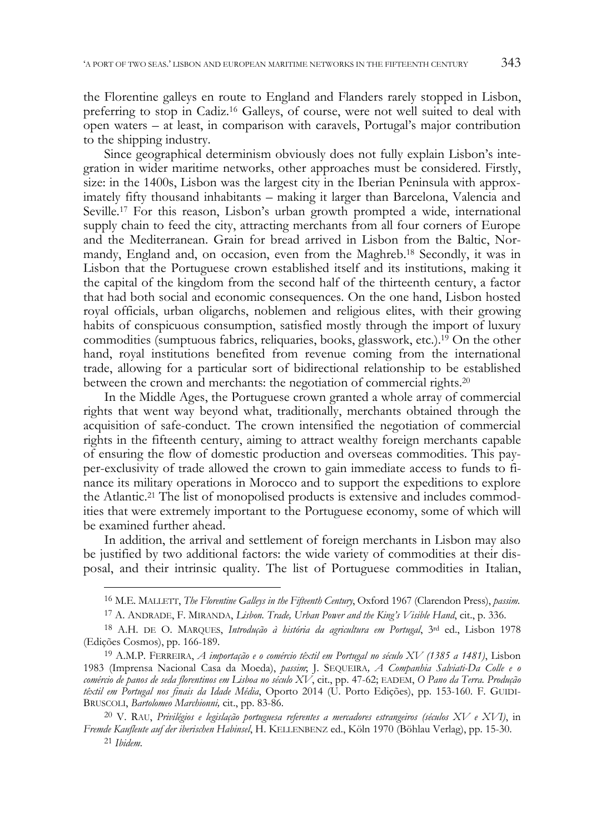the Florentine galleys en route to England and Flanders rarely stopped in Lisbon, preferring to stop in Cadiz.16 Galleys, of course, were not well suited to deal with open waters – at least, in comparison with caravels, Portugal's major contribution to the shipping industry.

Since geographical determinism obviously does not fully explain Lisbon's integration in wider maritime networks, other approaches must be considered. Firstly, size: in the 1400s, Lisbon was the largest city in the Iberian Peninsula with approximately fifty thousand inhabitants – making it larger than Barcelona, Valencia and Seville.17 For this reason, Lisbon's urban growth prompted a wide, international supply chain to feed the city, attracting merchants from all four corners of Europe and the Mediterranean. Grain for bread arrived in Lisbon from the Baltic, Normandy, England and, on occasion, even from the Maghreb.18 Secondly, it was in Lisbon that the Portuguese crown established itself and its institutions, making it the capital of the kingdom from the second half of the thirteenth century, a factor that had both social and economic consequences. On the one hand, Lisbon hosted royal officials, urban oligarchs, noblemen and religious elites, with their growing habits of conspicuous consumption, satisfied mostly through the import of luxury commodities (sumptuous fabrics, reliquaries, books, glasswork, etc.).19 On the other hand, royal institutions benefited from revenue coming from the international trade, allowing for a particular sort of bidirectional relationship to be established between the crown and merchants: the negotiation of commercial rights.20

In the Middle Ages, the Portuguese crown granted a whole array of commercial rights that went way beyond what, traditionally, merchants obtained through the acquisition of safe-conduct. The crown intensified the negotiation of commercial rights in the fifteenth century, aiming to attract wealthy foreign merchants capable of ensuring the flow of domestic production and overseas commodities. This payper-exclusivity of trade allowed the crown to gain immediate access to funds to finance its military operations in Morocco and to support the expeditions to explore the Atlantic.21 The list of monopolised products is extensive and includes commodities that were extremely important to the Portuguese economy, some of which will be examined further ahead.

In addition, the arrival and settlement of foreign merchants in Lisbon may also be justified by two additional factors: the wide variety of commodities at their disposal, and their intrinsic quality. The list of Portuguese commodities in Italian,

<sup>16</sup> M.E. MALLETT, *The Florentine Galleys in the Fifteenth Century*, Oxford 1967 (Clarendon Press), *passim*.

<sup>17</sup> A. ANDRADE, F. MIRANDA, *Lisbon. Trade, Urban Power and the King's Visible Hand*, cit., p. 336.

<sup>18</sup> A.H. DE O. MARQUES, *Introdução à história da agricultura em Portugal*, 3rd ed., Lisbon 1978 (Edições Cosmos), pp. 166-189.

<sup>19</sup> A.M.P. FERREIRA, *A importação e o comércio têxtil em Portugal no século XV (1385 a 1481)*, Lisbon 1983 (Imprensa Nacional Casa da Moeda), *passim*; J. SEQUEIRA*, A Companhia Salviati-Da Colle e o comércio de panos de seda florentinos em Lisboa no século XV*, cit., pp. 47-62; EADEM, *O Pano da Terra. Produção têxtil em Portugal nos finais da Idade Média*, Oporto 2014 (U. Porto Edições), pp. 153-160. F. GUIDI-BRUSCOLI, *Bartolomeo Marchionni,* cit., pp. 83-86.

<sup>20</sup> V. RAU, *Privilégios e legislação portuguesa referentes a mercadores estrangeiros (séculos XV e XVI)*, in *Fremde Kaufleute auf der iberischen Habinsel*, H. KELLENBENZ ed., Köln 1970 (Böhlau Verlag), pp. 15-30. 21 *Ibidem.*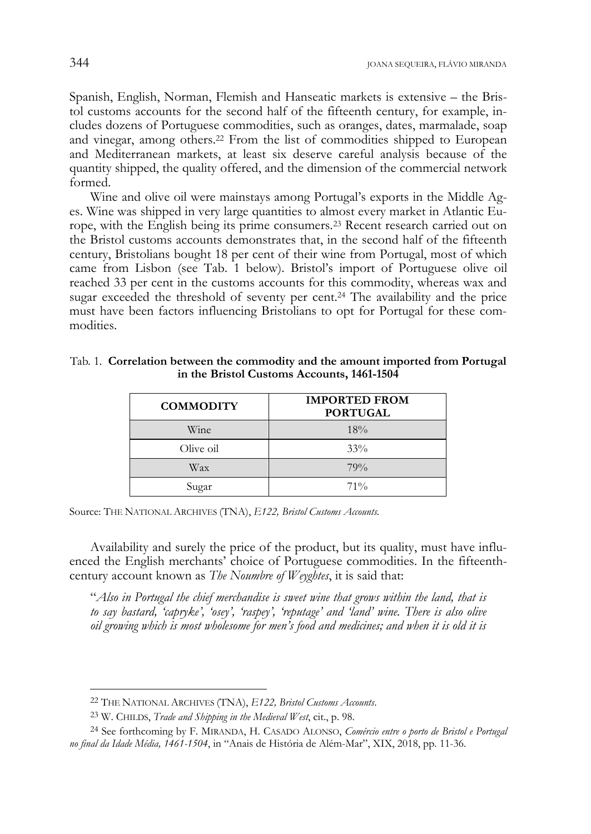Spanish, English, Norman, Flemish and Hanseatic markets is extensive – the Bristol customs accounts for the second half of the fifteenth century, for example, includes dozens of Portuguese commodities, such as oranges, dates, marmalade, soap and vinegar, among others.22 From the list of commodities shipped to European and Mediterranean markets, at least six deserve careful analysis because of the quantity shipped, the quality offered, and the dimension of the commercial network formed.

Wine and olive oil were mainstays among Portugal's exports in the Middle Ages. Wine was shipped in very large quantities to almost every market in Atlantic Europe, with the English being its prime consumers.23 Recent research carried out on the Bristol customs accounts demonstrates that, in the second half of the fifteenth century, Bristolians bought 18 per cent of their wine from Portugal, most of which came from Lisbon (see Tab. 1 below). Bristol's import of Portuguese olive oil reached 33 per cent in the customs accounts for this commodity, whereas wax and sugar exceeded the threshold of seventy per cent.24 The availability and the price must have been factors influencing Bristolians to opt for Portugal for these commodities.

| <b>COMMODITY</b> | <b>IMPORTED FROM</b><br><b>PORTUGAL</b> |
|------------------|-----------------------------------------|
| Wine             | 18%                                     |
| Olive oil        | $33\%$                                  |
| Wax              | 79%                                     |
| Sugar            | $71\%$                                  |

| Tab. 1. Correlation between the commodity and the amount imported from Portugal |  |
|---------------------------------------------------------------------------------|--|
| in the Bristol Customs Accounts, 1461-1504                                      |  |

Source: THE NATIONAL ARCHIVES (TNA), *E122, Bristol Customs Accounts.*

Availability and surely the price of the product, but its quality, must have influenced the English merchants' choice of Portuguese commodities. In the fifteenthcentury account known as *The Noumbre of Weyghtes*, it is said that:

"*Also in Portugal the chief merchandise is sweet wine that grows within the land, that is to say bastard, 'capryke', 'osey', 'raspey', 'reputage' and 'land' wine. There is also olive oil growing which is most wholesome for men's food and medicines; and when it is old it is* 

<sup>22</sup> THE NATIONAL ARCHIVES (TNA), *E122, Bristol Customs Accounts*.

<sup>23</sup> W. CHILDS, *Trade and Shipping in the Medieval West*, cit., p. 98.

<sup>24</sup> See forthcoming by F. MIRANDA, H. CASADO ALONSO, *Comércio entre o porto de Bristol e Portugal no final da Idade Média, 1461-1504*, in "Anais de História de Além-Mar", XIX, 2018, pp. 11-36.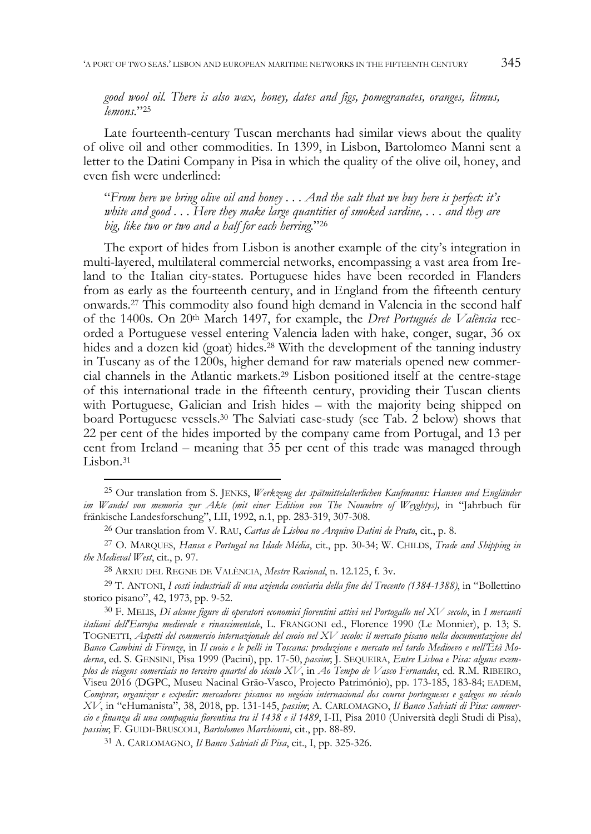*good wool oil. There is also wax, honey, dates and figs, pomegranates, oranges, litmus, lemons.*"25

Late fourteenth-century Tuscan merchants had similar views about the quality of olive oil and other commodities. In 1399, in Lisbon, Bartolomeo Manni sent a letter to the Datini Company in Pisa in which the quality of the olive oil, honey, and even fish were underlined:

"*From here we bring olive oil and honey . . . And the salt that we buy here is perfect: it's white and good . . . Here they make large quantities of smoked sardine, . . . and they are big, like two or two and a half for each herring.*"26

The export of hides from Lisbon is another example of the city's integration in multi-layered, multilateral commercial networks, encompassing a vast area from Ireland to the Italian city-states. Portuguese hides have been recorded in Flanders from as early as the fourteenth century, and in England from the fifteenth century onwards.27 This commodity also found high demand in Valencia in the second half of the 1400s. On 20th March 1497, for example, the *Dret Portugués de València* recorded a Portuguese vessel entering Valencia laden with hake, conger, sugar, 36 ox hides and a dozen kid (goat) hides.<sup>28</sup> With the development of the tanning industry in Tuscany as of the 1200s, higher demand for raw materials opened new commercial channels in the Atlantic markets.29 Lisbon positioned itself at the centre-stage of this international trade in the fifteenth century, providing their Tuscan clients with Portuguese, Galician and Irish hides – with the majority being shipped on board Portuguese vessels.30 The Salviati case-study (see Tab. 2 below) shows that 22 per cent of the hides imported by the company came from Portugal, and 13 per cent from Ireland – meaning that 35 per cent of this trade was managed through Lisbon.<sup>31</sup>

<sup>25</sup> Our translation from S. JENKS, *Werkzeug des spätmittelalterlichen Kaufmanns: Hansen und Engländer im Wandel von memoria zur Akte (mit einer Edition von The Noumbre of Weyghtys),* in "Jahrbuch für fränkische Landesforschung", LII, 1992, n.1, pp. 283-319, 307-308.

<sup>26</sup> Our translation from V. RAU, *Cartas de Lisboa no Arquivo Datini de Prato*, cit., p. 8.

<sup>27</sup> O. MARQUES, *Hansa e Portugal na Idade Média*, cit., pp. 30-34; W. CHILDS, *Trade and Shipping in the Medieval West*, cit., p. 97.

<sup>28</sup> ARXIU DEL REGNE DE VALÈNCIA, *Mestre Racional*, n. 12.125, f. 3v.

<sup>29</sup> T. ANTONI, *I costi industriali di una azienda conciaria della fine del Trecento (1384-1388)*, in "Bollettino storico pisano", 42, 1973, pp. 9-52.

<sup>30</sup> F. MELIS, *Di alcune figure di operatori economici fiorentini attivi nel Portogallo nel XV secolo*, in *I mercanti italiani dell'Europa medievale e rinascimentale*, L. FRANGONI ed., Florence 1990 (Le Monnier), p. 13; S. TOGNETTI, *Aspetti del commercio internazionale del cuoio nel XV secolo: il mercato pisano nella documentazione del Banco Cambini di Firenze*, in *Il cuoio e le pelli in Toscana: produzione e mercato nel tardo Medioevo e nell'Età Moderna*, ed. S. GENSINI, Pisa 1999 (Pacini), pp. 17-50, *passim*; J. SEQUEIRA, *Entre Lisboa e Pisa: alguns exemplos de viagens comerciais no terceiro quartel do século XV*, in *Ao Tempo de Vasco Fernandes*, ed. R.M. RIBEIRO, Viseu 2016 (DGPC, Museu Nacinal Grão-Vasco, Projecto Património), pp. 173-185, 183-84; EADEM, *Comprar, organizar e expedir: mercadores pisanos no negócio internacional dos couros portugueses e galegos no século XV*, in "eHumanista", 38, 2018, pp. 131-145, *passim*; A. CARLOMAGNO, *Il Banco Salviati di Pisa: commercio e finanza di una compagnia fiorentina tra il 1438 e il 1489*, I-II, Pisa 2010 (Università degli Studi di Pisa), *passim*; F. GUIDI-BRUSCOLI, *Bartolomeo Marchionni*, cit., pp. 88-89.

<sup>31</sup> A. CARLOMAGNO, *Il Banco Salviati di Pisa*, cit., I, pp. 325-326.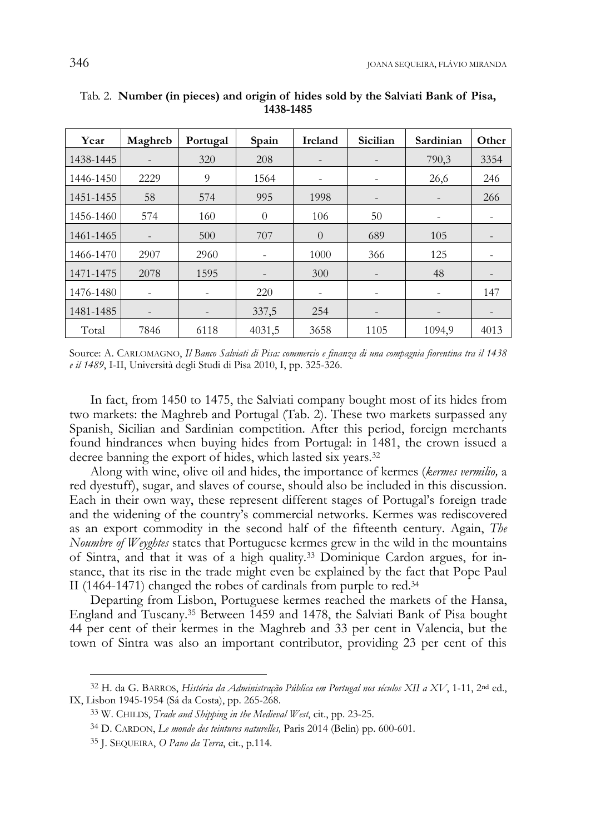| Year      | Maghreb                  | Portugal | Spain                    | Ireland                  | Sicilian                 | Sardinian | Other |
|-----------|--------------------------|----------|--------------------------|--------------------------|--------------------------|-----------|-------|
| 1438-1445 | $\overline{\phantom{0}}$ | 320      | 208                      | $\overline{\phantom{a}}$ | $\overline{\phantom{a}}$ | 790,3     | 3354  |
| 1446-1450 | 2229                     | 9        | 1564                     | ۰                        | $\overline{\phantom{a}}$ | 26,6      | 246   |
| 1451-1455 | 58                       | 574      | 995                      | 1998                     | $\qquad \qquad -$        |           | 266   |
| 1456-1460 | 574                      | 160      | $\Omega$                 | 106                      | 50                       |           |       |
| 1461-1465 | $\overline{\phantom{0}}$ | 500      | 707                      | $\Omega$                 | 689                      | 105       |       |
| 1466-1470 | 2907                     | 2960     | -                        | 1000                     | 366                      | 125       |       |
| 1471-1475 | 2078                     | 1595     | $\overline{\phantom{0}}$ | 300                      | $\qquad \qquad -$        | 48        |       |
| 1476-1480 | ٠                        |          | 220                      |                          | ۰                        |           | 147   |
| 1481-1485 | $\overline{\phantom{0}}$ |          | 337,5                    | 254                      | $\qquad \qquad -$        |           |       |
| Total     | 7846                     | 6118     | 4031,5                   | 3658                     | 1105                     | 1094.9    | 4013  |

Tab. 2. **Number (in pieces) and origin of hides sold by the Salviati Bank of Pisa, 1438-1485** 

Source: A. CARLOMAGNO, *Il Banco Salviati di Pisa: commercio e finanza di una compagnia fiorentina tra il 1438 e il 1489*, I-II, Università degli Studi di Pisa 2010, I, pp. 325-326.

In fact, from 1450 to 1475, the Salviati company bought most of its hides from two markets: the Maghreb and Portugal (Tab. 2). These two markets surpassed any Spanish, Sicilian and Sardinian competition. After this period, foreign merchants found hindrances when buying hides from Portugal: in 1481, the crown issued a decree banning the export of hides, which lasted six years.<sup>32</sup>

Along with wine, olive oil and hides, the importance of kermes (*kermes vermilio,* a red dyestuff), sugar, and slaves of course, should also be included in this discussion. Each in their own way, these represent different stages of Portugal's foreign trade and the widening of the country's commercial networks. Kermes was rediscovered as an export commodity in the second half of the fifteenth century. Again, *The Noumbre of Weyghtes* states that Portuguese kermes grew in the wild in the mountains of Sintra, and that it was of a high quality.33 Dominique Cardon argues, for instance, that its rise in the trade might even be explained by the fact that Pope Paul II (1464-1471) changed the robes of cardinals from purple to red.34

Departing from Lisbon, Portuguese kermes reached the markets of the Hansa, England and Tuscany.35 Between 1459 and 1478, the Salviati Bank of Pisa bought 44 per cent of their kermes in the Maghreb and 33 per cent in Valencia, but the town of Sintra was also an important contributor, providing 23 per cent of this

j

<sup>32</sup> H. da G. BARROS, *História da Administração Pública em Portugal nos séculos XII a XV*, 1-11, 2nd ed., IX, Lisbon 1945-1954 (Sá da Costa), pp. 265-268.

<sup>33</sup> W. CHILDS, *Trade and Shipping in the Medieval West*, cit., pp. 23-25.

<sup>34</sup> D. CARDON, *Le monde des teintures naturelles,* Paris 2014 (Belin) pp. 600-601.

<sup>35</sup> J. SEQUEIRA, *O Pano da Terra*, cit., p.114.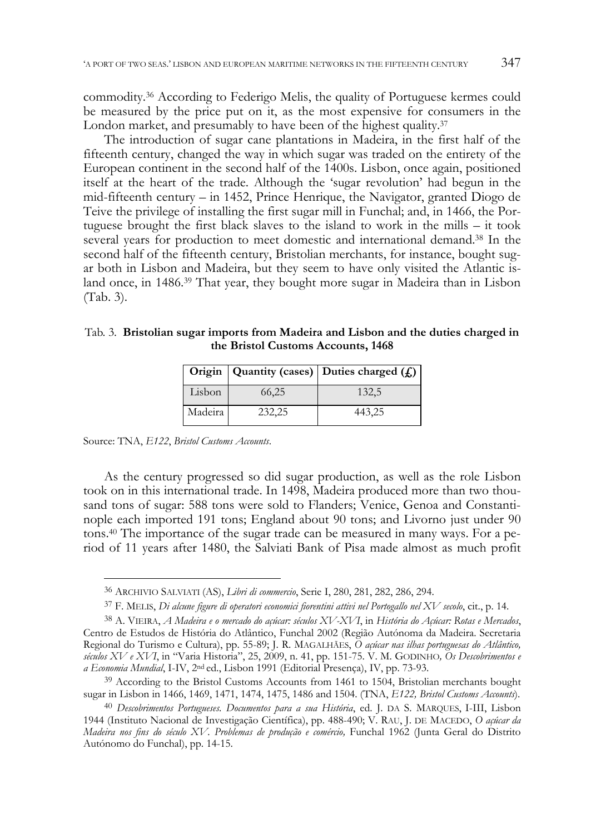commodity.36 According to Federigo Melis, the quality of Portuguese kermes could be measured by the price put on it, as the most expensive for consumers in the London market, and presumably to have been of the highest quality.<sup>37</sup>

The introduction of sugar cane plantations in Madeira, in the first half of the fifteenth century, changed the way in which sugar was traded on the entirety of the European continent in the second half of the 1400s. Lisbon, once again, positioned itself at the heart of the trade. Although the 'sugar revolution' had begun in the mid-fifteenth century – in 1452, Prince Henrique, the Navigator, granted Diogo de Teive the privilege of installing the first sugar mill in Funchal; and, in 1466, the Portuguese brought the first black slaves to the island to work in the mills – it took several years for production to meet domestic and international demand.38 In the second half of the fifteenth century, Bristolian merchants, for instance, bought sugar both in Lisbon and Madeira, but they seem to have only visited the Atlantic island once, in 1486.39 That year, they bought more sugar in Madeira than in Lisbon (Tab. 3).

#### Tab. 3. **Bristolian sugar imports from Madeira and Lisbon and the duties charged in the Bristol Customs Accounts, 1468**

|         |        | Origin   Quantity (cases)   Duties charged $(f_n)$ |
|---------|--------|----------------------------------------------------|
| Lisbon  | 66,25  | 132,5                                              |
| Madeira | 232,25 | 443,25                                             |

Source: TNA, *E122*, *Bristol Customs Accounts*.

j

As the century progressed so did sugar production, as well as the role Lisbon took on in this international trade. In 1498, Madeira produced more than two thousand tons of sugar: 588 tons were sold to Flanders; Venice, Genoa and Constantinople each imported 191 tons; England about 90 tons; and Livorno just under 90 tons.40 The importance of the sugar trade can be measured in many ways. For a period of 11 years after 1480, the Salviati Bank of Pisa made almost as much profit

<sup>36</sup> ARCHIVIO SALVIATI (AS), *Libri di commercio*, Serie I, 280, 281, 282, 286, 294.

<sup>37</sup> F. MELIS, *Di alcune figure di operatori economici fiorentini attivi nel Portogallo nel XV secolo*, cit., p. 14.

<sup>38</sup> A. VIEIRA, *A Madeira e o mercado do açúcar: séculos XV-XVI*, in *História do Açúcar: Rotas e Mercados*, Centro de Estudos de História do Atlântico, Funchal 2002 (Região Autónoma da Madeira. Secretaria Regional do Turismo e Cultura), pp. 55-89; J. R. MAGALHÃES, *O açúcar nas ilhas portuguesas do Atlântico, séculos XV e XVI*, in "Varia Historia", 25, 2009, n. 41, pp. 151-75. V. M. GODINHO*, Os Descobrimentos e a Economia Mundial*, I-IV, 2nd ed., Lisbon 1991 (Editorial Presença), IV, pp. 73-93.

<sup>&</sup>lt;sup>39</sup> According to the Bristol Customs Accounts from 1461 to 1504, Bristolian merchants bought sugar in Lisbon in 1466, 1469, 1471, 1474, 1475, 1486 and 1504. (TNA, *E122, Bristol Customs Accounts*).

<sup>40</sup> *Descobrimentos Portugueses. Documentos para a sua História*, ed. J. DA S. MARQUES, I-III, Lisbon 1944 (Instituto Nacional de Investigação Científica), pp. 488-490; V. RAU, J. DE MACEDO, *O açúcar da Madeira nos fins do século XV. Problemas de produção e comércio,* Funchal 1962 (Junta Geral do Distrito Autónomo do Funchal), pp. 14-15.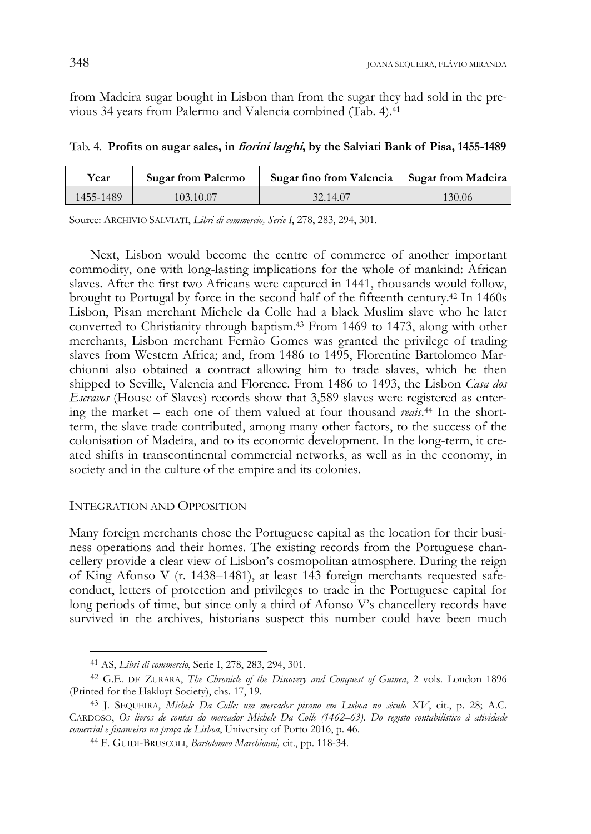from Madeira sugar bought in Lisbon than from the sugar they had sold in the previous 34 years from Palermo and Valencia combined (Tab. 4).41

Tab. 4. **Profits on sugar sales, in fiorini larghi, by the Salviati Bank of Pisa, 1455-1489** 

| Year      | <b>Sugar from Palermo</b> | Sugar fino from Valencia | Sugar from Madeira |
|-----------|---------------------------|--------------------------|--------------------|
| 1455-1489 | 103.10.07                 | 32.14.07                 | 130.06             |

Source: ARCHIVIO SALVIATI, *Libri di commercio, Serie I*, 278, 283, 294, 301.

Next, Lisbon would become the centre of commerce of another important commodity, one with long-lasting implications for the whole of mankind: African slaves. After the first two Africans were captured in 1441, thousands would follow, brought to Portugal by force in the second half of the fifteenth century.42 In 1460s Lisbon, Pisan merchant Michele da Colle had a black Muslim slave who he later converted to Christianity through baptism.43 From 1469 to 1473, along with other merchants, Lisbon merchant Fernão Gomes was granted the privilege of trading slaves from Western Africa; and, from 1486 to 1495, Florentine Bartolomeo Marchionni also obtained a contract allowing him to trade slaves, which he then shipped to Seville, Valencia and Florence. From 1486 to 1493, the Lisbon *Casa dos Escravos* (House of Slaves) records show that 3,589 slaves were registered as entering the market – each one of them valued at four thousand *reais*. 44 In the shortterm, the slave trade contributed, among many other factors, to the success of the colonisation of Madeira, and to its economic development. In the long-term, it created shifts in transcontinental commercial networks, as well as in the economy, in society and in the culture of the empire and its colonies.

## INTEGRATION AND OPPOSITION

-

Many foreign merchants chose the Portuguese capital as the location for their business operations and their homes. The existing records from the Portuguese chancellery provide a clear view of Lisbon's cosmopolitan atmosphere. During the reign of King Afonso V (r. 1438–1481), at least 143 foreign merchants requested safeconduct, letters of protection and privileges to trade in the Portuguese capital for long periods of time, but since only a third of Afonso V's chancellery records have survived in the archives, historians suspect this number could have been much

<sup>41</sup> AS, *Libri di commercio*, Serie I, 278, 283, 294, 301.

<sup>42</sup> G.E. DE ZURARA, *The Chronicle of the Discovery and Conquest of Guinea*, 2 vols. London 1896 (Printed for the Hakluyt Society), chs. 17, 19.

<sup>43</sup> J. SEQUEIRA, *Michele Da Colle: um mercador pisano em Lisboa no século XV*, cit., p. 28; A.C. CARDOSO, *Os livros de contas do mercador Michele Da Colle (1462–63). Do registo contabilístico à atividade comercial e financeira na praça de Lisboa*, University of Porto 2016, p. 46.

<sup>44</sup> F. GUIDI-BRUSCOLI, *Bartolomeo Marchionni,* cit., pp. 118-34.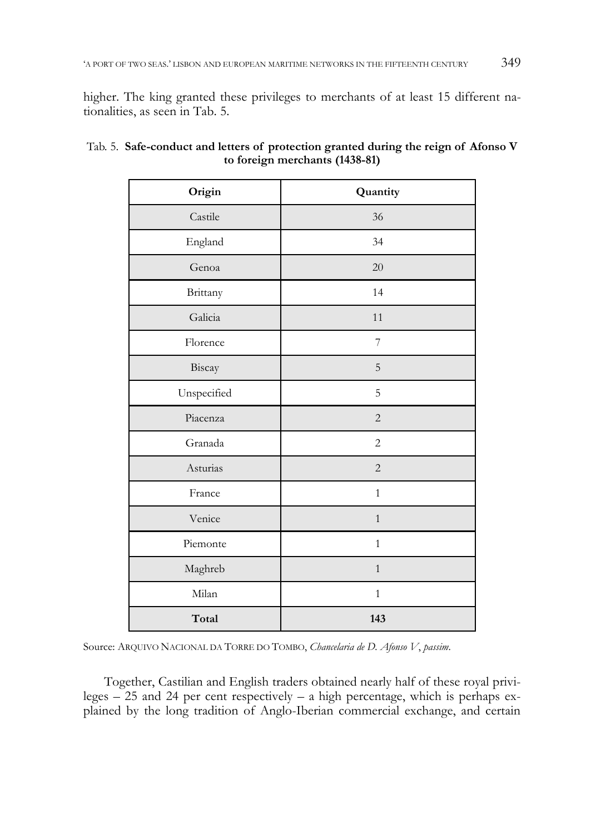higher. The king granted these privileges to merchants of at least 15 different nationalities, as seen in Tab. 5.

| Origin      | Quantity       |
|-------------|----------------|
| Castile     | 36             |
| England     | 34             |
| Genoa       | 20             |
| Brittany    | 14             |
| Galicia     | 11             |
| Florence    | $\overline{7}$ |
| Biscay      | 5              |
| Unspecified | 5              |
| Piacenza    | $\sqrt{2}$     |
| Granada     | $\mathbf{2}$   |
| Asturias    | $\overline{c}$ |
| France      | $\mathbf{1}$   |
| Venice      | $\,1$          |
| Piemonte    | $\mathbf{1}$   |
| Maghreb     | $\mathbf{1}$   |
| Milan       | $\mathbf{1}$   |
| Total       | 143            |

|                                | Tab. 5. Safe-conduct and letters of protection granted during the reign of Afonso V |  |  |
|--------------------------------|-------------------------------------------------------------------------------------|--|--|
| to foreign merchants (1438-81) |                                                                                     |  |  |

Source: ARQUIVO NACIONAL DA TORRE DO TOMBO, *Chancelaria de D. Afonso V*, *passim*.

Together, Castilian and English traders obtained nearly half of these royal privileges – 25 and 24 per cent respectively – a high percentage, which is perhaps explained by the long tradition of Anglo-Iberian commercial exchange, and certain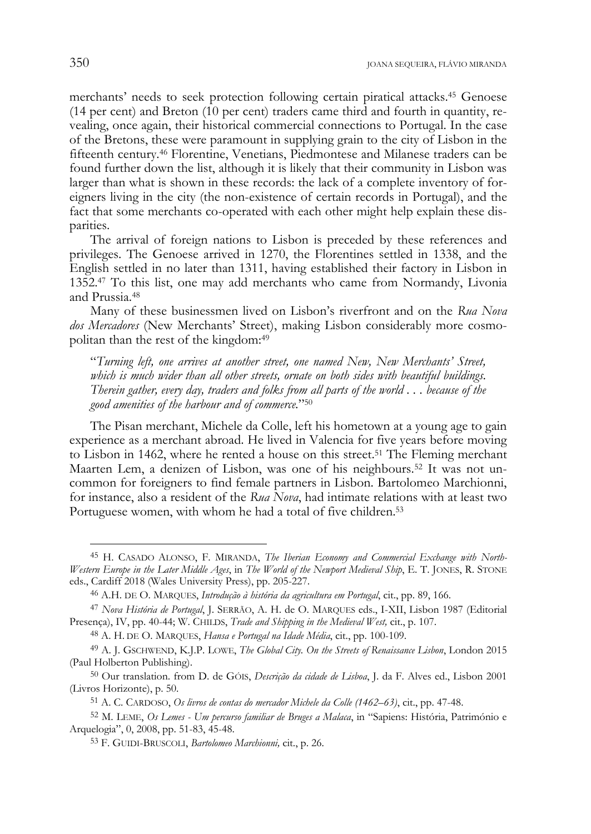merchants' needs to seek protection following certain piratical attacks.45 Genoese (14 per cent) and Breton (10 per cent) traders came third and fourth in quantity, revealing, once again, their historical commercial connections to Portugal. In the case of the Bretons, these were paramount in supplying grain to the city of Lisbon in the fifteenth century.46 Florentine, Venetians, Piedmontese and Milanese traders can be found further down the list, although it is likely that their community in Lisbon was larger than what is shown in these records: the lack of a complete inventory of foreigners living in the city (the non-existence of certain records in Portugal), and the fact that some merchants co-operated with each other might help explain these disparities.

The arrival of foreign nations to Lisbon is preceded by these references and privileges. The Genoese arrived in 1270, the Florentines settled in 1338, and the English settled in no later than 1311, having established their factory in Lisbon in 1352.47 To this list, one may add merchants who came from Normandy, Livonia and Prussia.48

Many of these businessmen lived on Lisbon's riverfront and on the *Rua Nova dos Mercadores* (New Merchants' Street), making Lisbon considerably more cosmopolitan than the rest of the kingdom:49

"*Turning left, one arrives at another street, one named New, New Merchants' Street, which is much wider than all other streets, ornate on both sides with beautiful buildings. Therein gather, every day, traders and folks from all parts of the world . . . because of the good amenities of the harbour and of commerce.*"50

The Pisan merchant, Michele da Colle, left his hometown at a young age to gain experience as a merchant abroad. He lived in Valencia for five years before moving to Lisbon in 1462, where he rented a house on this street.<sup>51</sup> The Fleming merchant Maarten Lem, a denizen of Lisbon, was one of his neighbours.<sup>52</sup> It was not uncommon for foreigners to find female partners in Lisbon. Bartolomeo Marchionni, for instance, also a resident of the *Rua Nova*, had intimate relations with at least two Portuguese women, with whom he had a total of five children.<sup>53</sup>

j

<sup>45</sup> H. CASADO ALONSO, F. MIRANDA, *The Iberian Economy and Commercial Exchange with North-Western Europe in the Later Middle Ages*, in *The World of the Newport Medieval Ship*, E. T. JONES, R. STONE eds., Cardiff 2018 (Wales University Press), pp. 205-227.

<sup>46</sup> A.H. DE O. MARQUES, *Introdução à história da agricultura em Portugal*, cit., pp. 89, 166.

<sup>47</sup> *Nova História de Portugal*, J. SERRÃO, A. H. de O. MARQUES eds., I-XII, Lisbon 1987 (Editorial Presença), IV, pp. 40-44; W. CHILDS, *Trade and Shipping in the Medieval West,* cit., p. 107.

<sup>48</sup> A. H. DE O. MARQUES, *Hansa e Portugal na Idade Média*, cit., pp. 100-109.

<sup>49</sup> A. J. GSCHWEND, K.J.P. LOWE, *The Global City. On the Streets of Renaissance Lisbon*, London 2015 (Paul Holberton Publishing).

<sup>50</sup> Our translation. from D. de GÓIS, *Descrição da cidade de Lisboa*, J. da F. Alves ed., Lisbon 2001 (Livros Horizonte), p. 50.

<sup>51</sup> A. C. CARDOSO, *Os livros de contas do mercador Michele da Colle (1462–63)*, cit., pp. 47-48.

<sup>52</sup> M. LEME, *Os Lemes - Um percurso familiar de Bruges a Malaca*, in "Sapiens: História, Património e Arquelogia", 0, 2008, pp. 51-83, 45-48.

<sup>53</sup> F. GUIDI-BRUSCOLI, *Bartolomeo Marchionni,* cit., p. 26.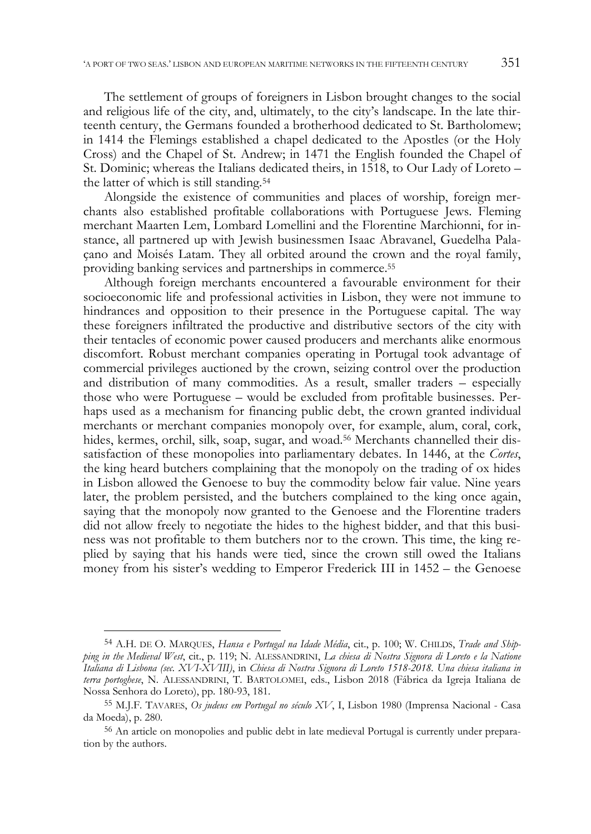The settlement of groups of foreigners in Lisbon brought changes to the social and religious life of the city, and, ultimately, to the city's landscape. In the late thirteenth century, the Germans founded a brotherhood dedicated to St. Bartholomew; in 1414 the Flemings established a chapel dedicated to the Apostles (or the Holy Cross) and the Chapel of St. Andrew; in 1471 the English founded the Chapel of St. Dominic; whereas the Italians dedicated theirs, in 1518, to Our Lady of Loreto – the latter of which is still standing.54

Alongside the existence of communities and places of worship, foreign merchants also established profitable collaborations with Portuguese Jews. Fleming merchant Maarten Lem, Lombard Lomellini and the Florentine Marchionni, for instance, all partnered up with Jewish businessmen Isaac Abravanel, Guedelha Palaçano and Moisés Latam. They all orbited around the crown and the royal family, providing banking services and partnerships in commerce.55

Although foreign merchants encountered a favourable environment for their socioeconomic life and professional activities in Lisbon, they were not immune to hindrances and opposition to their presence in the Portuguese capital. The way these foreigners infiltrated the productive and distributive sectors of the city with their tentacles of economic power caused producers and merchants alike enormous discomfort. Robust merchant companies operating in Portugal took advantage of commercial privileges auctioned by the crown, seizing control over the production and distribution of many commodities. As a result, smaller traders – especially those who were Portuguese – would be excluded from profitable businesses. Perhaps used as a mechanism for financing public debt, the crown granted individual merchants or merchant companies monopoly over, for example, alum, coral, cork, hides, kermes, orchil, silk, soap, sugar, and woad.<sup>56</sup> Merchants channelled their dissatisfaction of these monopolies into parliamentary debates. In 1446, at the *Cortes*, the king heard butchers complaining that the monopoly on the trading of ox hides in Lisbon allowed the Genoese to buy the commodity below fair value. Nine years later, the problem persisted, and the butchers complained to the king once again, saying that the monopoly now granted to the Genoese and the Florentine traders did not allow freely to negotiate the hides to the highest bidder, and that this business was not profitable to them butchers nor to the crown. This time, the king replied by saying that his hands were tied, since the crown still owed the Italians money from his sister's wedding to Emperor Frederick III in 1452 – the Genoese

<sup>54</sup> A.H. DE O. MARQUES, *Hansa e Portugal na Idade Média*, cit., p. 100; W. CHILDS, *Trade and Shipping in the Medieval West*, cit., p. 119; N. ALESSANDRINI, *La chiesa di Nostra Signora di Loreto e la Natione Italiana di Lisbona (sec. XVI-XVIII)*, in *Chiesa di Nostra Signora di Loreto 1518-2018. Una chiesa italiana in terra portoghese*, N. ALESSANDRINI, T. BARTOLOMEI, eds., Lisbon 2018 (Fábrica da Igreja Italiana de Nossa Senhora do Loreto), pp. 180-93, 181.

<sup>55</sup> M.J.F. TAVARES, *Os judeus em Portugal no século XV*, I, Lisbon 1980 (Imprensa Nacional - Casa da Moeda), p. 280.

<sup>56</sup> An article on monopolies and public debt in late medieval Portugal is currently under preparation by the authors.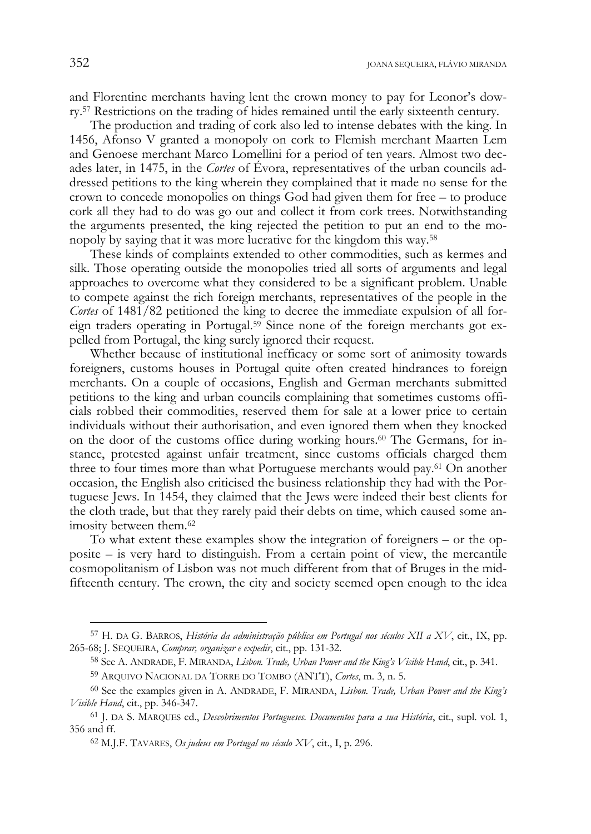and Florentine merchants having lent the crown money to pay for Leonor's dowry.57 Restrictions on the trading of hides remained until the early sixteenth century.

The production and trading of cork also led to intense debates with the king. In 1456, Afonso V granted a monopoly on cork to Flemish merchant Maarten Lem and Genoese merchant Marco Lomellini for a period of ten years. Almost two decades later, in 1475, in the *Cortes* of Évora, representatives of the urban councils addressed petitions to the king wherein they complained that it made no sense for the crown to concede monopolies on things God had given them for free – to produce cork all they had to do was go out and collect it from cork trees. Notwithstanding the arguments presented, the king rejected the petition to put an end to the monopoly by saying that it was more lucrative for the kingdom this way.58

These kinds of complaints extended to other commodities, such as kermes and silk. Those operating outside the monopolies tried all sorts of arguments and legal approaches to overcome what they considered to be a significant problem. Unable to compete against the rich foreign merchants, representatives of the people in the *Cortes* of 1481/82 petitioned the king to decree the immediate expulsion of all foreign traders operating in Portugal.59 Since none of the foreign merchants got expelled from Portugal, the king surely ignored their request.

Whether because of institutional inefficacy or some sort of animosity towards foreigners, customs houses in Portugal quite often created hindrances to foreign merchants. On a couple of occasions, English and German merchants submitted petitions to the king and urban councils complaining that sometimes customs officials robbed their commodities, reserved them for sale at a lower price to certain individuals without their authorisation, and even ignored them when they knocked on the door of the customs office during working hours.60 The Germans, for instance, protested against unfair treatment, since customs officials charged them three to four times more than what Portuguese merchants would pay.61 On another occasion, the English also criticised the business relationship they had with the Portuguese Jews. In 1454, they claimed that the Jews were indeed their best clients for the cloth trade, but that they rarely paid their debts on time, which caused some animosity between them.62

To what extent these examples show the integration of foreigners – or the opposite – is very hard to distinguish. From a certain point of view, the mercantile cosmopolitanism of Lisbon was not much different from that of Bruges in the midfifteenth century. The crown, the city and society seemed open enough to the idea

<sup>57</sup> H. DA G. BARROS, *História da administração pública em Portugal nos séculos XII a XV*, cit., IX, pp. 265-68; J. SEQUEIRA, *Comprar, organizar e expedir*, cit., pp. 131-32.

<sup>58</sup> See A. ANDRADE, F. MIRANDA, *Lisbon. Trade, Urban Power and the King's Visible Hand*, cit., p. 341.

<sup>59</sup> ARQUIVO NACIONAL DA TORRE DO TOMBO (ANTT), *Cortes*, m. 3, n. 5.

<sup>60</sup> See the examples given in A. ANDRADE, F. MIRANDA, *Lisbon. Trade, Urban Power and the King's Visible Hand*, cit., pp. 346-347.

<sup>61</sup> J. DA S. MARQUES ed., *Descobrimentos Portugueses. Documentos para a sua História*, cit., supl. vol. 1, 356 and ff.

<sup>62</sup> M.J.F. TAVARES, *Os judeus em Portugal no século XV*, cit., I, p. 296.